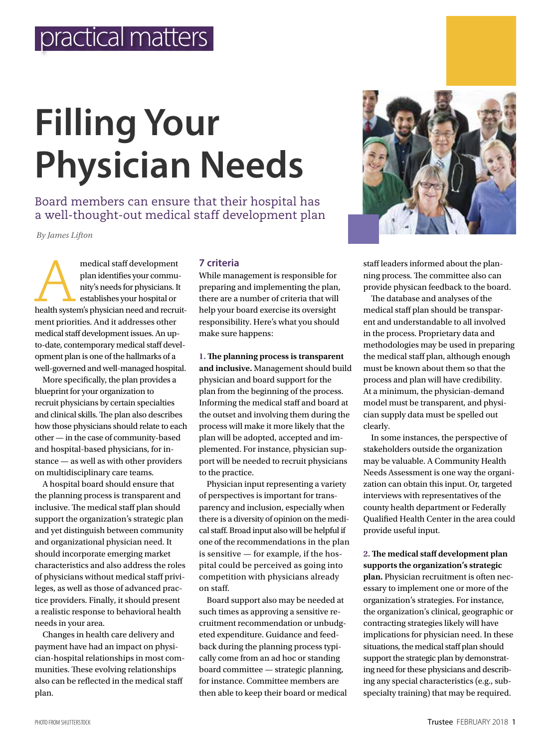# **Filling Your Physician Needs**

Board members can ensure that their hospital has a well-thought-out medical staff development plan

*By James Lifton*

medical staff development<br>
plan identifies your commu-<br>
nity's needs for physicians. It<br>
establishes your hospital or<br>
health system's physician need and recruitplan identifies your community's needs for physicians. It establishes your hospital or ment priorities. And it addresses other medical staff development issues. An upto-date, contemporary medical staff development plan is one of the hallmarks of a well-governed and well-managed hospital.

More specifically, the plan provides a blueprint for your organization to recruit physicians by certain specialties and clinical skills. The plan also describes how those physicians should relate to each other — in the case of community-based and hospital-based physicians, for instance — as well as with other providers on multidisciplinary care teams.

A hospital board should ensure that the planning process is transparent and inclusive. The medical staff plan should support the organization's strategic plan and yet distinguish between community and organizational physician need. It should incorporate emerging market characteristics and also address the roles of physicians without medical staff privileges, as well as those of advanced practice providers. Finally, it should present a realistic response to behavioral health needs in your area.

Changes in health care delivery and payment have had an impact on physician-hospital relationships in most communities. These evolving relationships also can be reflected in the medical staff plan.

#### **7 criteria**

While management is responsible for preparing and implementing the plan, there are a number of criteria that will help your board exercise its oversight responsibility. Here's what you should make sure happens:

**1. The planning process is transparent and inclusive.** Management should build physician and board support for the plan from the beginning of the process. Informing the medical staff and board at the outset and involving them during the process will make it more likely that the plan will be adopted, accepted and implemented. For instance, physician support will be needed to recruit physicians to the practice.

Physician input representing a variety of perspectives is important for transparency and inclusion, especially when there is a diversity of opinion on the medical staff. Broad input also will be helpful if one of the recommendations in the plan is sensitive — for example, if the hospital could be perceived as going into competition with physicians already on staff.

Board support also may be needed at such times as approving a sensitive recruitment recommendation or unbudgeted expenditure. Guidance and feedback during the planning process typically come from an ad hoc or standing board committee — strategic planning, for instance. Committee members are then able to keep their board or medical



staff leaders informed about the planning process. The committee also can provide physican feedback to the board.

The database and analyses of the medical staff plan should be transparent and understandable to all involved in the process. Proprietary data and methodologies may be used in preparing the medical staff plan, although enough must be known about them so that the process and plan will have credibility. At a minimum, the physician-demand model must be transparent, and physician supply data must be spelled out clearly.

In some instances, the perspective of stakeholders outside the organization may be valuable. A Community Health Needs Assessment is one way the organization can obtain this input. Or, targeted interviews with representatives of the county health department or Federally Qualified Health Center in the area could provide useful input.

**2. The medical staff development plan supports the organization's strategic** 

**plan.** Physician recruitment is often necessary to implement one or more of the organization's strategies. For instance, the organization's clinical, geographic or contracting strategies likely will have implications for physician need. In these situations, the medical staff plan should support the strategic plan by demonstrating need for these physicians and describing any special characteristics (e.g., subspecialty training) that may be required.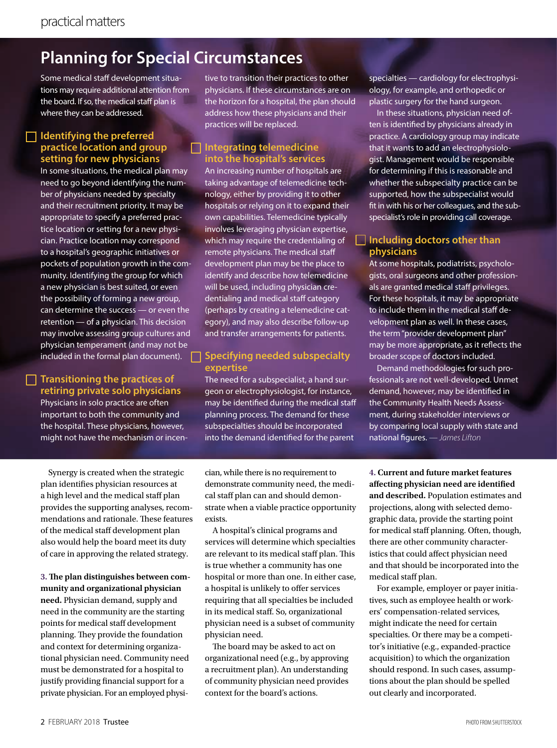## **Planning for Special Circumstances**

Some medical staff development situations may require additional attention from the board. If so, the medical staff plan is where they can be addressed.

#### **Identifying the preferred practice location and group setting for new physicians**

In some situations, the medical plan may need to go beyond identifying the number of physicians needed by specialty and their recruitment priority. It may be appropriate to specify a preferred practice location or setting for a new physician. Practice location may correspond to a hospital's geographic initiatives or pockets of population growth in the community. Identifying the group for which a new physician is best suited, or even the possibility of forming a new group, can determine the success — or even the retention — of a physician. This decision may involve assessing group cultures and physician temperament (and may not be included in the formal plan document).

#### **Transitioning the practices of retiring private solo physicians**

Physicians in solo practice are often important to both the community and the hospital. These physicians, however, might not have the mechanism or incentive to transition their practices to other physicians. If these circumstances are on the horizon for a hospital, the plan should address how these physicians and their practices will be replaced.

#### **Integrating telemedicine into the hospital's services**

An increasing number of hospitals are taking advantage of telemedicine technology, either by providing it to other hospitals or relying on it to expand their own capabilities. Telemedicine typically involves leveraging physician expertise, which may require the credentialing of remote physicians. The medical staff development plan may be the place to identify and describe how telemedicine will be used, including physician credentialing and medical staff category (perhaps by creating a telemedicine category), and may also describe follow-up and transfer arrangements for patients.

#### **Specifying needed subspecialty expertise**

The need for a subspecialist, a hand surgeon or electrophysiologist, for instance, may be identified during the medical staff planning process. The demand for these subspecialties should be incorporated into the demand identified for the parent

specialties — cardiology for electrophysiology, for example, and orthopedic or plastic surgery for the hand surgeon.

In these situations, physician need often is identified by physicians already in practice. A cardiology group may indicate that it wants to add an electrophysiologist. Management would be responsible for determining if this is reasonable and whether the subspecialty practice can be supported, how the subspecialist would fit in with his or her colleagues, and the subspecialist's role in providing call coverage.

#### **Including doctors other than physicians**

At some hospitals, podiatrists, psychologists, oral surgeons and other professionals are granted medical staff privileges. For these hospitals, it may be appropriate to include them in the medical staff development plan as well. In these cases, the term "provider development plan" may be more appropriate, as it reflects the broader scope of doctors included.

Demand methodologies for such professionals are not well-developed. Unmet demand, however, may be identified in the Community Health Needs Assessment, during stakeholder interviews or by comparing local supply with state and national figures. *— James Lifton* 

Synergy is created when the strategic plan identifies physician resources at a high level and the medical staff plan provides the supporting analyses, recommendations and rationale. These features of the medical staff development plan also would help the board meet its duty of care in approving the related strategy.

**3. The plan distinguishes between community and organizational physician need.** Physician demand, supply and need in the community are the starting points for medical staff development planning. They provide the foundation and context for determining organizational physician need. Community need must be demonstrated for a hospital to justify providing financial support for a private physician. For an employed physician, while there is no requirement to demonstrate community need, the medical staff plan can and should demonstrate when a viable practice opportunity exists.

A hospital's clinical programs and services will determine which specialties are relevant to its medical staff plan. This is true whether a community has one hospital or more than one. In either case, a hospital is unlikely to offer services requiring that all specialties be included in its medical staff. So, organizational physician need is a subset of community physician need.

The board may be asked to act on organizational need (e.g., by approving a recruitment plan). An understanding of community physician need provides context for the board's actions.

**4. Current and future market features affecting physician need are identified and described.** Population estimates and projections, along with selected demographic data, provide the starting point for medical staff planning. Often, though, there are other community characteristics that could affect physician need and that should be incorporated into the medical staff plan.

For example, employer or payer initiatives, such as employee health or workers' compensation-related services, might indicate the need for certain specialties. Or there may be a competitor's initiative (e.g., expanded-practice acquisition) to which the organization should respond. In such cases, assumptions about the plan should be spelled out clearly and incorporated.